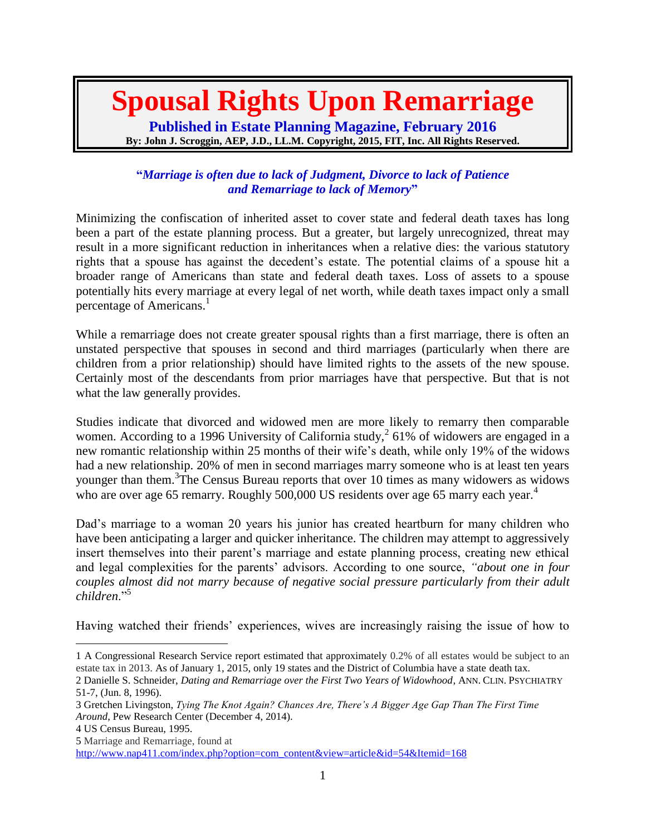# **Spousal Rights Upon Remarriage**

**Published in Estate Planning Magazine, February 2016 By: John J. Scroggin, AEP, J.D., LL.M. Copyright, 2015, FIT, Inc. All Rights Reserved.**

# **"***Marriage is often due to lack of Judgment, Divorce to lack of Patience and Remarriage to lack of Memory***"**

Minimizing the confiscation of inherited asset to cover state and federal death taxes has long been a part of the estate planning process. But a greater, but largely unrecognized, threat may result in a more significant reduction in inheritances when a relative dies: the various statutory rights that a spouse has against the decedent's estate. The potential claims of a spouse hit a broader range of Americans than state and federal death taxes. Loss of assets to a spouse potentially hits every marriage at every legal of net worth, while death taxes impact only a small percentage of Americans.<sup>1</sup>

While a remarriage does not create greater spousal rights than a first marriage, there is often an unstated perspective that spouses in second and third marriages (particularly when there are children from a prior relationship) should have limited rights to the assets of the new spouse. Certainly most of the descendants from prior marriages have that perspective. But that is not what the law generally provides.

Studies indicate that divorced and widowed men are more likely to remarry then comparable women. According to a 1996 University of California study,  $261\%$  of widowers are engaged in a new romantic relationship within 25 months of their wife's death, while only 19% of the widows had a new relationship. 20% of men in second marriages marry someone who is at least ten years younger than them.<sup>3</sup>The Census Bureau reports that over 10 times as many widowers as widows who are over age 65 remarry. Roughly 500,000 US residents over age 65 marry each year.<sup>4</sup>

Dad's marriage to a woman 20 years his junior has created heartburn for many children who have been anticipating a larger and quicker inheritance. The children may attempt to aggressively insert themselves into their parent's marriage and estate planning process, creating new ethical and legal complexities for the parents' advisors. According to one source, *"about one in four couples almost did not marry because of negative social pressure particularly from their adult children*."<sup>5</sup>

Having watched their friends' experiences, wives are increasingly raising the issue of how to

<sup>1</sup> A Congressional Research Service report estimated that approximately 0.2% of all estates would be subject to an estate tax in 2013. As of January 1, 2015, only 19 states and the District of Columbia have a state death tax.

<sup>2</sup> Danielle S. Schneider, *Dating and Remarriage over the First Two Years of Widowhood*, ANN. CLIN. PSYCHIATRY 51-7, (Jun. 8, 1996).

<sup>3</sup> Gretchen Livingston, *Tying The Knot Again? Chances Are, There's A Bigger Age Gap Than The First Time Around*, Pew Research Center (December 4, 2014).

<sup>4</sup> US Census Bureau, 1995.

<sup>5</sup> Marriage and Remarriage, found at

[http://www.nap411.com/index.php?option=com\\_content&view=article&id=54&Itemid=168](http://www.nap411.com/index.php?option=com_content&view=article&id=54&Itemid=168)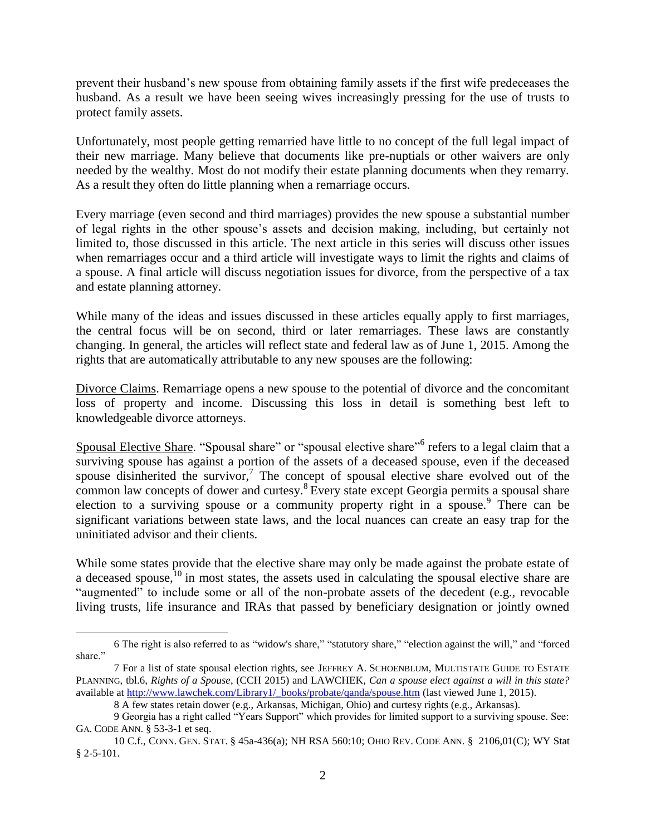prevent their husband's new spouse from obtaining family assets if the first wife predeceases the husband. As a result we have been seeing wives increasingly pressing for the use of trusts to protect family assets.

Unfortunately, most people getting remarried have little to no concept of the full legal impact of their new marriage. Many believe that documents like pre-nuptials or other waivers are only needed by the wealthy. Most do not modify their estate planning documents when they remarry. As a result they often do little planning when a remarriage occurs.

Every marriage (even second and third marriages) provides the new spouse a substantial number of legal rights in the other spouse's assets and decision making, including, but certainly not limited to, those discussed in this article. The next article in this series will discuss other issues when remarriages occur and a third article will investigate ways to limit the rights and claims of a spouse. A final article will discuss negotiation issues for divorce, from the perspective of a tax and estate planning attorney.

While many of the ideas and issues discussed in these articles equally apply to first marriages, the central focus will be on second, third or later remarriages. These laws are constantly changing. In general, the articles will reflect state and federal law as of June 1, 2015. Among the rights that are automatically attributable to any new spouses are the following:

Divorce Claims. Remarriage opens a new spouse to the potential of divorce and the concomitant loss of property and income. Discussing this loss in detail is something best left to knowledgeable divorce attorneys.

Spousal Elective Share. "Spousal share" or "spousal elective share"<sup>6</sup> refers to a legal claim that a surviving spouse has against a portion of the assets of a deceased spouse, even if the deceased spouse disinherited the survivor,<sup>7</sup> The concept of spousal elective share evolved out of the common law concepts of dower and curtesy. $8$  Every state except Georgia permits a spousal share election to a surviving spouse or a community property right in a spouse.<sup>9</sup> There can be significant variations between state laws, and the local nuances can create an easy trap for the uninitiated advisor and their clients.

While some states provide that the elective share may only be made against the probate estate of a deceased spouse,<sup>10</sup> in most states, the assets used in calculating the spousal elective share are "augmented" to include some or all of the non-probate assets of the decedent (e.g., revocable living trusts, life insurance and IRAs that passed by beneficiary designation or jointly owned

<sup>6</sup> The right is also referred to as "widow's share," "statutory share," "election against the will," and "forced share."

<sup>7</sup> For a list of state spousal election rights, see JEFFREY A. SCHOENBLUM, MULTISTATE GUIDE TO ESTATE PLANNING, tbl.6, *Rights of a Spouse*, (CCH 2015) and LAWCHEK, *Can a spouse elect against a will in this state?* available at [http://www.lawchek.com/Library1/\\_books/probate/qanda/spouse.htm](http://www.lawchek.com/Library1/_books/probate/qanda/spouse.htm) (last viewed June 1, 2015).

<sup>8</sup> A few states retain dower (e.g., Arkansas, Michigan, Ohio) and curtesy rights (e.g., Arkansas).

<sup>9</sup> Georgia has a right called "Years Support" which provides for limited support to a surviving spouse. See: GA. CODE ANN. § 53-3-1 et seq.

<sup>10</sup> C.f., CONN. GEN. STAT. § 45a-436(a); NH RSA 560:10; OHIO REV. CODE ANN. § 2106,01(C); [WY Stat](http://law.justia.com/citations.html#WY Stat § 2-5-101 (1997 through Reg Sess))  [§ 2-5-101.](http://law.justia.com/citations.html#WY Stat § 2-5-101 (1997 through Reg Sess))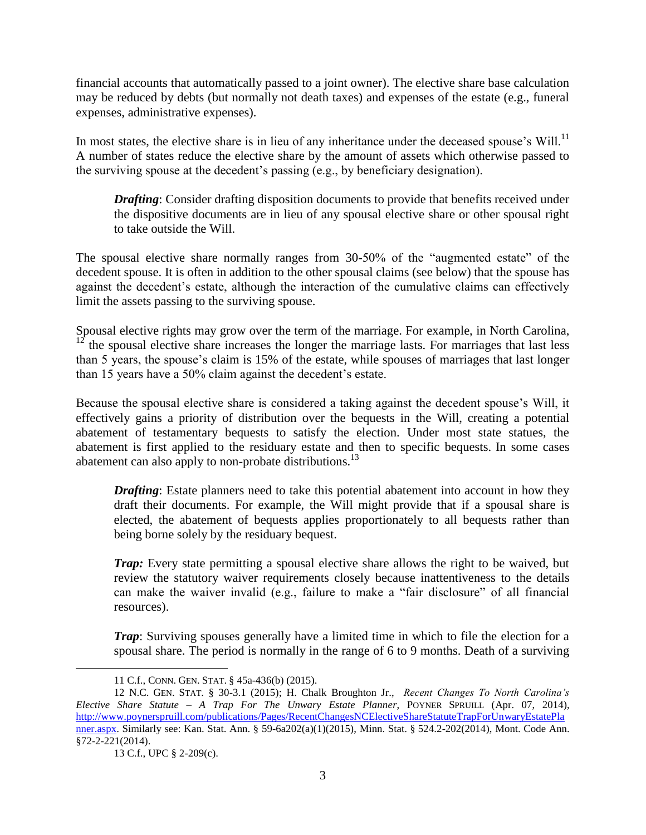financial accounts that automatically passed to a joint owner). The elective share base calculation may be reduced by debts (but normally not death taxes) and expenses of the estate (e.g., funeral expenses, administrative expenses).

In most states, the elective share is in lieu of any inheritance under the deceased spouse's Will.<sup>11</sup> A number of states reduce the elective share by the amount of assets which otherwise passed to the surviving spouse at the decedent's passing (e.g., by beneficiary designation).

*Drafting*: Consider drafting disposition documents to provide that benefits received under the dispositive documents are in lieu of any spousal elective share or other spousal right to take outside the Will.

The spousal elective share normally ranges from 30-50% of the "augmented estate" of the decedent spouse. It is often in addition to the other spousal claims (see below) that the spouse has against the decedent's estate, although the interaction of the cumulative claims can effectively limit the assets passing to the surviving spouse.

Spousal elective rights may grow over the term of the marriage. For example, in North Carolina, <sup>12</sup> the spousal elective share increases the longer the marriage lasts. For marriages that last less than 5 years, the spouse's claim is 15% of the estate, while spouses of marriages that last longer than 15 years have a 50% claim against the decedent's estate.

Because the spousal elective share is considered a taking against the decedent spouse's Will, it effectively gains a priority of distribution over the bequests in the Will, creating a potential abatement of testamentary bequests to satisfy the election. Under most state statues, the abatement is first applied to the residuary estate and then to specific bequests. In some cases abatement can also apply to non-probate distributions.<sup>13</sup>

*Drafting*: Estate planners need to take this potential abatement into account in how they draft their documents. For example, the Will might provide that if a spousal share is elected, the abatement of bequests applies proportionately to all bequests rather than being borne solely by the residuary bequest.

*Trap:* Every state permitting a spousal elective share allows the right to be waived, but review the statutory waiver requirements closely because inattentiveness to the details can make the waiver invalid (e.g., failure to make a "fair disclosure" of all financial resources).

*Trap*: Surviving spouses generally have a limited time in which to file the election for a spousal share. The period is normally in the range of 6 to 9 months. Death of a surviving

<sup>11</sup> C.f., CONN. GEN. STAT. § 45a-436(b) (2015).

<sup>12</sup> N.C. GEN. STAT. § 30-3.1 (2015); [H. Chalk Broughton Jr.,](http://www.poynerspruill.com/people/Pages/HChalkBroughton.aspx) *Recent Changes To North Carolina's Elective Share Statute – A Trap For The Unwary Estate Planner*, POYNER SPRUILL (Apr. 07, 2014), [http://www.poynerspruill.com/publications/Pages/RecentChangesNCElectiveShareStatuteTrapForUnwaryEstatePla](http://www.poynerspruill.com/publications/Pages/RecentChangesNCElectiveShareStatuteTrapForUnwaryEstatePlanner.aspx) [nner.aspx.](http://www.poynerspruill.com/publications/Pages/RecentChangesNCElectiveShareStatuteTrapForUnwaryEstatePlanner.aspx) Similarly see: Kan. Stat. Ann. § 59-6a202(a)(1)(2015), Minn. Stat. § 524.2-202(2014), Mont. Code Ann. §72-2-221(2014).

<sup>13</sup> C.f., UPC § 2-209(c).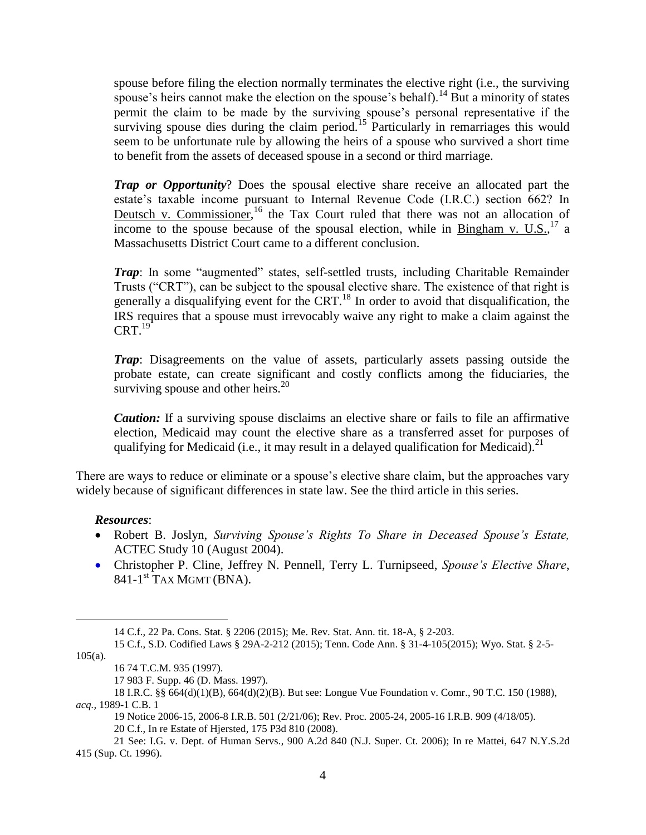spouse before filing the election normally terminates the elective right (i.e., the surviving spouse's heirs cannot make the election on the spouse's behalf).<sup>14</sup> But a minority of states permit the claim to be made by the surviving spouse's personal representative if the surviving spouse dies during the claim period.<sup>15</sup> Particularly in remarriages this would seem to be unfortunate rule by allowing the heirs of a spouse who survived a short time to benefit from the assets of deceased spouse in a second or third marriage.

*Trap or Opportunity*? Does the spousal elective share receive an allocated part the estate's taxable income pursuant to Internal Revenue Code (I.R.C.) section 662? In Deutsch v. Commissioner,<sup>16</sup> the Tax Court ruled that there was not an allocation of income to the spouse because of the spousal election, while in Bingham v. U.S.*,* <sup>17</sup> a Massachusetts District Court came to a different conclusion.

*Trap*: In some "augmented" states, self-settled trusts, including Charitable Remainder Trusts ("CRT"), can be subject to the spousal elective share. The existence of that right is generally a disqualifying event for the  $CRT<sup>18</sup>$  In order to avoid that disqualification, the IRS requires that a spouse must irrevocably waive any right to make a claim against the  $CRT^{19}$ 

*Trap*: Disagreements on the value of assets, particularly assets passing outside the probate estate, can create significant and costly conflicts among the fiduciaries, the surviving spouse and other heirs. $^{20}$ 

*Caution:* If a surviving spouse disclaims an elective share or fails to file an affirmative election, Medicaid may count the elective share as a transferred asset for purposes of qualifying for Medicaid (i.e., it may result in a delayed qualification for Medicaid).<sup>21</sup>

There are ways to reduce or eliminate or a spouse's elective share claim, but the approaches vary widely because of significant differences in state law. See the third article in this series.

#### *Resources*:

- Robert B. Joslyn, *Surviving Spouse's Rights To Share in Deceased Spouse's Estate,* ACTEC Study 10 (August 2004).
- Christopher P. Cline, Jeffrey N. Pennell, Terry L. Turnipseed, *Spouse's Elective Share*, 841-1<sup>st</sup> TAX MGMT (BNA).

 $105(a)$ .

<sup>14</sup> C.f., 22 Pa. Cons. Stat. § 2206 (2015); Me. Rev. Stat. Ann. tit. 18-A, § 2-203.

<sup>15</sup> C.f., S.D. Codified Laws § 29A-2-212 (2015); Tenn. Code Ann. § 31-4-105(2015); Wyo. Stat. § 2-5-

<sup>16</sup> [74 T.C.M. 935](http://taxandaccounting.bna.com/btac/display/link_res.adp?fedfid=28121699&fname=tcm_74_935&vname=tmegtporep) (1997).

<sup>17</sup> [983 F. Supp. 46](http://taxandaccounting.bna.com/btac/display/link_res.adp?fedfid=28121699&fname=fsupp_983_46&vname=tmegtporep) (D. Mass. 1997).

<sup>18</sup> I.R.C. §§ 664(d)(1)(B), 664(d)(2)(B). But see: Longue Vue Foundation v. Comr.[, 90 T.C. 150](http://taxandaccounting.bna.com/btac/display/link_res.adp?fedfid=4335025&fname=tc_90_150&vname=egtjjrnl) (1988), *acq.,* 1989-1 C.B. 1

<sup>19</sup> Notice 2006-15, 2006-8 I.R.B. 501 (2/21/06)[; Rev. Proc. 2005-24,](http://taxandaccounting.bna.com/btac/display/link_res.adp?fedfid=4335025&fname=irs_revproc_2005_24&vname=egtjjrnl) 2005-16 I.R.B. 909 (4/18/05). 20 C.f., In re Estate of Hjersted, 175 P3d 810 (2008).

<sup>21</sup> See: I.G. v. Dept. of Human Servs., 900 A.2d 840 (N.J. Super. Ct. 2006); In re Mattei, 647 N.Y.S.2d 415 (Sup. Ct. 1996).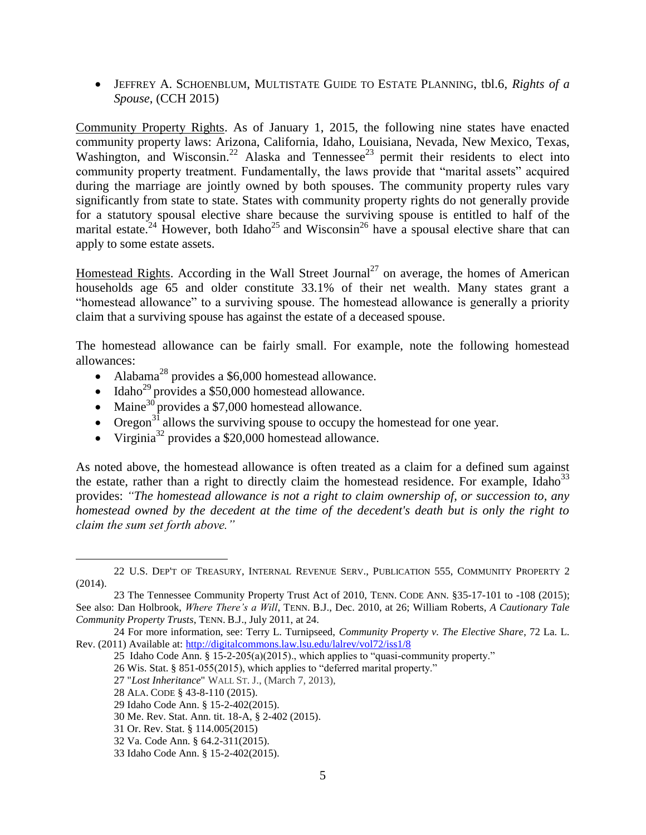JEFFREY A. SCHOENBLUM, MULTISTATE GUIDE TO ESTATE PLANNING, tbl.6, *Rights of a Spouse*, (CCH 2015)

Community Property Rights. As of January 1, 2015, the following nine states have enacted community property laws: [Arizona,](http://en.wikipedia.org/wiki/Arizona) [California,](http://en.wikipedia.org/wiki/California) [Idaho,](http://en.wikipedia.org/wiki/Idaho) [Louisiana,](http://en.wikipedia.org/wiki/Louisiana) [Nevada,](http://en.wikipedia.org/wiki/Nevada) [New Mexico,](http://en.wikipedia.org/wiki/New_Mexico) [Texas,](http://en.wikipedia.org/wiki/Texas) [Washington,](http://en.wikipedia.org/wiki/Washington_(U.S._state)) and [Wisconsin.](http://en.wikipedia.org/wiki/Wisconsin)<sup>22</sup> Alaska and Tennessee<sup>23</sup> permit their residents to elect into community property treatment. Fundamentally, the laws provide that "marital assets" acquired during the marriage are jointly owned by both spouses. The community property rules vary significantly from state to state. States with community property rights do not generally provide for a statutory spousal elective share because the surviving spouse is entitled to half of the marital estate.<sup>24</sup> However, both Idaho<sup>25</sup> and Wisconsin<sup>26</sup> have a spousal elective share that can apply to some estate assets.

Homestead Rights. According in the Wall Street Journal<sup>27</sup> on average, the homes of American households age 65 and older constitute 33.1% of their net wealth. Many states grant a "homestead allowance" to a surviving spouse. The homestead allowance is generally a priority claim that a surviving spouse has against the estate of a deceased spouse.

The homestead allowance can be fairly small. For example, note the following homestead allowances:

- Alabama<sup>28</sup> provides a \$6,000 homestead allowance.
- $\bullet$  Idaho<sup>29</sup> provides a \$50,000 homestead allowance.
- Maine $30$  provides a \$7,000 homestead allowance.
- Oregon<sup>31</sup> allows the surviving spouse to occupy the homestead for one year.
- $\bullet$  Virginia<sup>32</sup> provides a \$20,000 homestead allowance.

As noted above, the homestead allowance is often treated as a claim for a defined sum against the estate, rather than a right to directly claim the homestead residence. For example, Idaho<sup>33</sup> provides: *"The homestead allowance is not a right to claim ownership of, or succession to, any homestead owned by the decedent at the time of the decedent's death but is only the right to claim the sum set forth above."*

<sup>22</sup> U.S. DEP'T OF TREASURY, INTERNAL REVENUE SERV., PUBLICATION 555, COMMUNITY PROPERTY 2 (2014).

<sup>23</sup> The Tennessee Community Property Trust Act of 2010, TENN. CODE ANN. §35-17-101 to -108 (2015); See also: Dan Holbrook, *Where There's a Will*, TENN. B.J., Dec. 2010, at 26; [William Roberts,](http://www.tba.org/profile/william-roberts-1) *A Cautionary Tale Community Property Trusts*, TENN. B.J., July 2011, at 24.

<sup>24</sup> For more information, see: Terry L. Turnipseed, *Community Property v. The Elective Share*, 72 La. L. Rev. (2011) Available at:<http://digitalcommons.law.lsu.edu/lalrev/vol72/iss1/8>

<sup>25</sup> Idaho Code Ann. § 15-2-205(a)(2015)., which applies to "quasi-community property."

<sup>26</sup> Wis. Stat. § 851-055(2015), which applies to "deferred marital property."

<sup>27</sup> "*Lost Inheritance*" WALL ST. J., (March 7, 2013),

<sup>28</sup> ALA. CODE § 43-8-110 (2015).

<sup>29</sup> Idaho Code Ann. § 15-2-402(2015).

<sup>30</sup> Me. Rev. Stat. Ann. tit. 18-A, § 2-402 (2015).

<sup>31</sup> Or. Rev. Stat. § 114.005(2015)

<sup>32</sup> Va. Code Ann. § 64.2-311(2015).

<sup>33</sup> Idaho Code Ann. § 15-2-402(2015).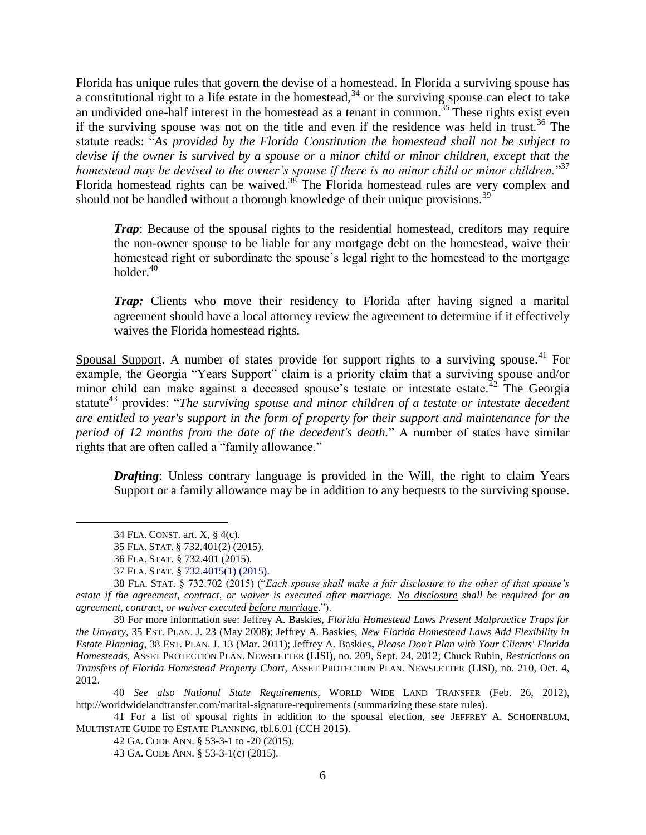Florida has unique rules that govern the devise of a homestead. In Florida a surviving spouse has a constitutional right to a life estate in the homestead,  $34$  or the surviving spouse can elect to take an undivided one-half interest in the homestead as a tenant in common.<sup>35</sup> These rights exist even if the surviving spouse was not on the title and even if the residence was held in trust.<sup>36</sup> The statute reads: "*As provided by the Florida Constitution the homestead shall not be subject to devise if the owner is survived by a spouse or a minor child or minor children, except that the homestead may be devised to the owner's spouse if there is no minor child or minor children.*" 37 Florida homestead rights can be waived.<sup>38</sup> The Florida homestead rules are very complex and should not be handled without a thorough knowledge of their unique provisions.<sup>39</sup>

*Trap*: Because of the spousal rights to the residential homestead, creditors may require the non-owner spouse to be liable for any mortgage debt on the homestead, waive their homestead right or subordinate the spouse's legal right to the homestead to the mortgage holder. $40$ 

*Trap:* Clients who move their residency to Florida after having signed a marital agreement should have a local attorney review the agreement to determine if it effectively waives the Florida homestead rights.

Spousal Support. A number of states provide for support rights to a surviving spouse.<sup>41</sup> For example, the Georgia "Years Support" claim is a priority claim that a surviving spouse and/or minor child can make against a deceased spouse's testate or intestate estate.<sup>42</sup> The Georgia statute<sup>43</sup> provides: "*The surviving spouse and minor children of a testate or intestate decedent are entitled to year's support in the form of property for their support and maintenance for the period of 12 months from the date of the decedent's death.*" A number of states have similar rights that are often called a "family allowance."

*Drafting*: Unless contrary language is provided in the Will, the right to claim Years Support or a family allowance may be in addition to any bequests to the surviving spouse.

 $\overline{a}$ 

40 *See also National State Requirements*, WORLD WIDE LAND TRANSFER (Feb. 26, 2012), http://worldwidelandtransfer.com/marital-signature-requirements (summarizing these state rules).

41 For a list of spousal rights in addition to the spousal election, see JEFFREY A. SCHOENBLUM, MULTISTATE GUIDE TO ESTATE PLANNING, tbl.6.01 (CCH 2015).

42 GA. CODE ANN. § 53-3-1 to -20 (2015).

<sup>34</sup> FLA. CONST. art. X, § 4(c).

<sup>35</sup> FLA. STAT. § 732.401(2) (2015).

<sup>36</sup> FLA. STAT. § 732.401 (2015).

<sup>37</sup> FLA. STAT. § 732.4015(1) (2015).

<sup>38</sup> FLA. STAT. § 732.702 (2015) ("*Each spouse shall make a fair disclosure to the other of that spouse's estate if the agreement, contract, or waiver is executed after marriage. No disclosure shall be required for an agreement, contract, or waiver executed before marriage*.").

<sup>39</sup> For more information see: Jeffrey A. Baskies, *Florida Homestead Laws Present Malpractice Traps for the Unwary*, 35 EST. PLAN. J. 23 (May 2008); Jeffrey A. Baskies, *New Florida Homestead Laws Add Flexibility in Estate Planning*, 38 EST. PLAN. J. 13 (Mar. 2011); Jeffrey A. Baskies**,** *Please Don't Plan with Your Clients' Florida Homesteads*, ASSET PROTECTION PLAN. NEWSLETTER (LISI), no. 209, Sept. 24, 2012; Chuck Rubin, *Restrictions on Transfers of Florida Homestead Property Chart*, ASSET PROTECTION PLAN. NEWSLETTER (LISI), no. 210, Oct. 4, 2012.

<sup>43</sup> GA. CODE ANN. § 53-3-1(c) (2015).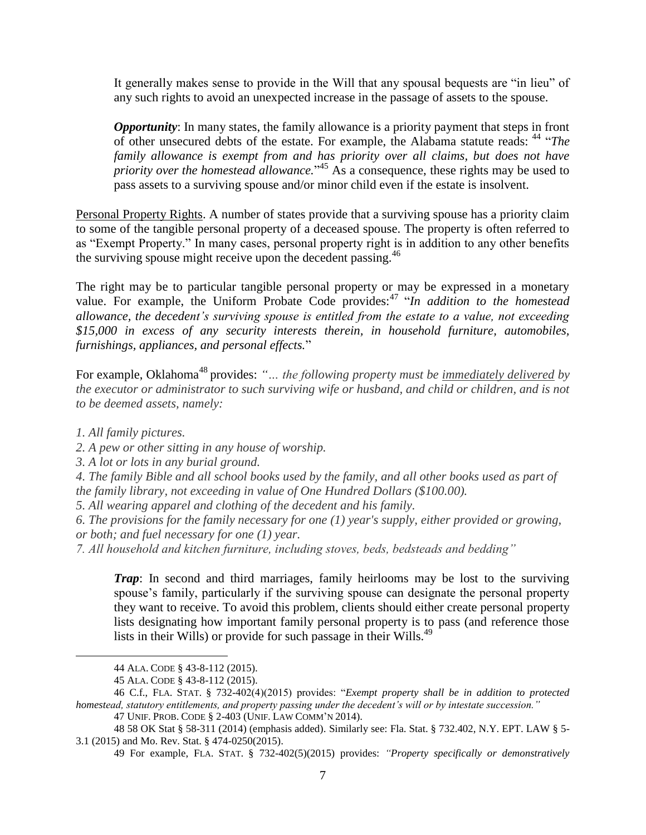It generally makes sense to provide in the Will that any spousal bequests are "in lieu" of any such rights to avoid an unexpected increase in the passage of assets to the spouse.

*Opportunity*: In many states, the family allowance is a priority payment that steps in front of other unsecured debts of the estate. For example, the Alabama statute reads: <sup>44</sup> "*The family allowance is exempt from and has priority over all claims, but does not have priority over the homestead allowance.*" <sup>45</sup> As a consequence, these rights may be used to pass assets to a surviving spouse and/or minor child even if the estate is insolvent.

Personal Property Rights. A number of states provide that a surviving spouse has a priority claim to some of the tangible personal property of a deceased spouse. The property is often referred to as "Exempt Property." In many cases, personal property right is in addition to any other benefits the surviving spouse might receive upon the decedent passing.<sup>46</sup>

The right may be to particular tangible personal property or may be expressed in a monetary value. For example, the Uniform Probate Code provides:<sup>47</sup> "In addition to the homestead *allowance, the decedent's surviving spouse is entitled from the estate to a value, not exceeding \$15,000 in excess of any security interests therein, in household furniture, automobiles, furnishings, appliances, and personal effects.*"

For example, Oklahoma<sup>48</sup> provides: "... the following property must be immediately delivered by *the executor or administrator to such surviving wife or husband, and child or children, and is not to be deemed assets, namely:*

*1. All family pictures.*

 $\overline{a}$ 

- *2. A pew or other sitting in any house of worship.*
- *3. A lot or lots in any burial ground.*

*4. The family Bible and all school books used by the family, and all other books used as part of the family library, not exceeding in value of One Hundred Dollars (\$100.00).*

- *5. All wearing apparel and clothing of the decedent and his family.*
- *6. The provisions for the family necessary for one (1) year's supply, either provided or growing, or both; and fuel necessary for one (1) year.*
- *7. All household and kitchen furniture, including stoves, beds, bedsteads and bedding"*

*Trap*: In second and third marriages, family heirlooms may be lost to the surviving spouse's family, particularly if the surviving spouse can designate the personal property they want to receive. To avoid this problem, clients should either create personal property lists designating how important family personal property is to pass (and reference those lists in their Wills) or provide for such passage in their Wills.<sup>49</sup>

<sup>44</sup> ALA. CODE § 43-8-112 (2015).

<sup>45</sup> ALA. CODE § 43-8-112 (2015).

<sup>46</sup> C.f., FLA. STAT. § 732-402(4)(2015) provides: "*Exempt property shall be in addition to protected homestead, statutory entitlements, and property passing under the decedent's will or by intestate succession."*

<sup>47</sup> UNIF. PROB. CODE § 2-403 (UNIF. LAW COMM'N 2014).

<sup>48</sup> [58 OK Stat § 58-311 \(2014\) \(emphasis added\). S](http://law.justia.com/citations.html)imilarly see: Fla. Stat. § 732.402, N.Y. EPT. LAW § 5- 3.1 (2015) and Mo. Rev. Stat. § 474-0250(2015).

<sup>49</sup> For example, FLA. STAT. § 732-402(5)(2015) provides: *"Property specifically or demonstratively*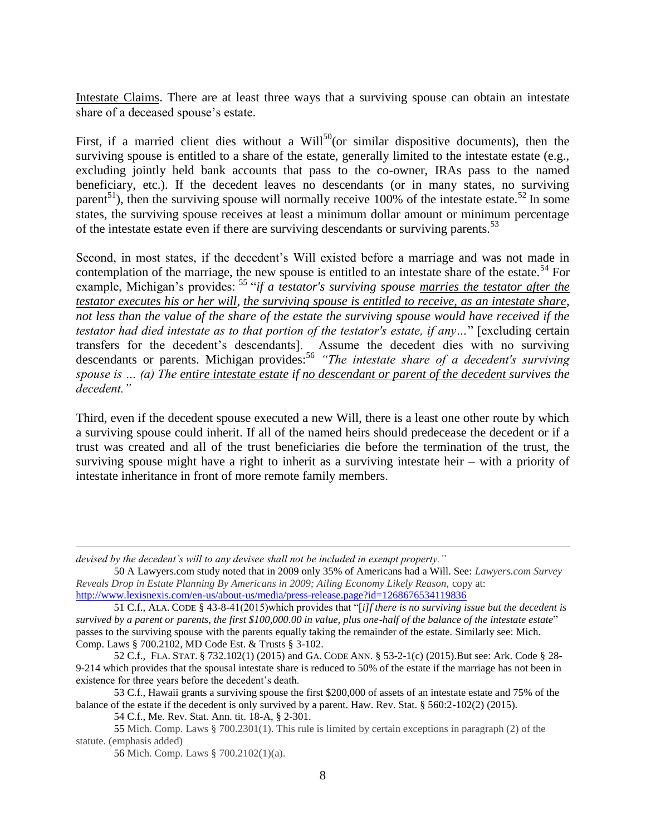Intestate Claims. There are at least three ways that a surviving spouse can obtain an intestate share of a deceased spouse's estate.

First, if a married client dies without a Will<sup>50</sup>(or similar dispositive documents), then the surviving spouse is entitled to a share of the estate, generally limited to the intestate estate (e.g., excluding jointly held bank accounts that pass to the co-owner, IRAs pass to the named beneficiary, etc.). If the decedent leaves no descendants (or in many states, no surviving parent<sup>51</sup>), then the surviving spouse will normally receive 100% of the intestate estate.<sup>52</sup> In some states, the surviving spouse receives at least a minimum dollar amount or minimum percentage of the intestate estate even if there are surviving descendants or surviving parents.<sup>53</sup>

Second, in most states, if the decedent's Will existed before a marriage and was not made in contemplation of the marriage, the new spouse is entitled to an intestate share of the estate.<sup>54</sup> For example, Michigan's provides: <sup>55</sup> "*if a testator's surviving spouse marries the testator after the testator executes his or her will, the surviving spouse is entitled to receive, as an intestate share, not less than the value of the share of the estate the surviving spouse would have received if the testator had died intestate as to that portion of the testator's estate, if any…*" [excluding certain transfers for the decedent's descendants]. Assume the decedent dies with no surviving descendants or parents. Michigan provides:<sup>56</sup> "The intestate share of a decedent's surviving *spouse is … (a) The entire intestate estate if no descendant or parent of the decedent survives the decedent."*

Third, even if the decedent spouse executed a new Will, there is a least one other route by which a surviving spouse could inherit. If all of the named heirs should predecease the decedent or if a trust was created and all of the trust beneficiaries die before the termination of the trust, the surviving spouse might have a right to inherit as a surviving intestate heir – with a priority of intestate inheritance in front of more remote family members.

*devised by the decedent's will to any devisee shall not be included in exempt property."*

<sup>50</sup> A Lawyers.com study noted that in 2009 only 35% of Americans had a Will. See: *Lawyers.com Survey Reveals Drop in Estate Planning By Americans in 2009; Ailing Economy Likely Reason,* copy at: <http://www.lexisnexis.com/en-us/about-us/media/press-release.page?id=1268676534119836>

<sup>51</sup> C.f., ALA. CODE § 43-8-41(2015)which provides that "[*i]f there is no surviving issue but the decedent is survived by a parent or parents, the first \$100,000.00 in value, plus one-half of the balance of the intestate estate*" passes to the surviving spouse with the parents equally taking the remainder of the estate. Similarly see: Mich. Comp. Laws § 700.2102, MD Code Est. & Trusts § 3-102.

<sup>52</sup> C.f., FLA. STAT. § 732.102(1) (2015) and GA. CODE ANN. § 53-2-1(c) (2015).But see: Ark. Code § 28- 9-214 which provides that the spousal intestate share is reduced to 50% of the estate if the marriage has not been in existence for three years before the decedent's death.

<sup>53</sup> C.f., Hawaii grants a surviving spouse the first \$200,000 of assets of an intestate estate and 75% of the balance of the estate if the decedent is only survived by a parent. Haw. Rev. Stat. § 560:2-102(2) (2015).

<sup>54</sup> C.f., Me. Rev. Stat. Ann. tit. 18-A, § 2-301.

<sup>55</sup> Mich. Comp. Laws § 700.2301(1). This rule is limited by certain exceptions in paragraph (2) of the statute. (emphasis added)

<sup>56</sup> Mich. Comp. Laws § 700.2102(1)(a).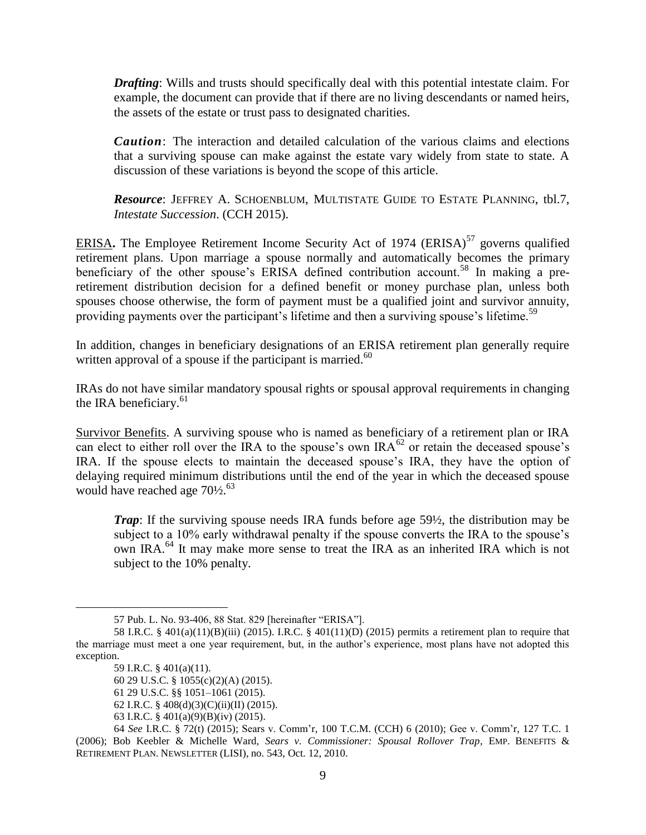*Drafting*: Wills and trusts should specifically deal with this potential intestate claim. For example, the document can provide that if there are no living descendants or named heirs, the assets of the estate or trust pass to designated charities.

*Caution*: The interaction and detailed calculation of the various claims and elections that a surviving spouse can make against the estate vary widely from state to state. A discussion of these variations is beyond the scope of this article.

*Resource*: JEFFREY A. SCHOENBLUM, MULTISTATE GUIDE TO ESTATE PLANNING, tbl.7, *Intestate Succession*. (CCH 2015).

ERISA. The Employee Retirement Income Security Act of 1974 (ERISA)<sup>57</sup> governs qualified retirement plans. Upon marriage a spouse normally and automatically becomes the primary beneficiary of the other spouse's ERISA defined contribution account.<sup>58</sup> In making a preretirement distribution decision for a defined benefit or money purchase plan, unless both spouses choose otherwise, the form of payment must be a qualified joint and survivor annuity, providing payments over the participant's lifetime and then a surviving spouse's lifetime.<sup>59</sup>

In addition, changes in beneficiary designations of an ERISA retirement plan generally require written approval of a spouse if the participant is married. $60$ 

IRAs do not have similar mandatory spousal rights or spousal approval requirements in changing the IRA beneficiary. $61$ 

Survivor Benefits. A surviving spouse who is named as beneficiary of a retirement plan or IRA can elect to either roll over the IRA to the spouse's own  $IRA^{62}$  or retain the deceased spouse's IRA. If the spouse elects to maintain the deceased spouse's IRA, they have the option of delaying required minimum distributions until the end of the year in which the deceased spouse would have reached age  $70\frac{1}{2}$ .<sup>63</sup>

*Trap*: If the surviving spouse needs IRA funds before age 59½, the distribution may be subject to a 10% early withdrawal penalty if the spouse converts the IRA to the spouse's own IRA.<sup>64</sup> It may make more sense to treat the IRA as an inherited IRA which is not subject to the 10% penalty.

<sup>57</sup> Pub. L. No. 93-406, 88 Stat. 829 [hereinafter "ERISA"].

<sup>58</sup> I.R.C. § 401(a)(11)(B)(iii) (2015). I.R.C. § 401(11)(D) (2015) permits a retirement plan to require that the marriage must meet a one year requirement, but, in the author's experience, most plans have not adopted this exception.

<sup>59</sup> I.R.C. § 401(a)(11).

<sup>60</sup> 29 U.S.C. § 1055(c)(2)(A) (2015).

<sup>61</sup> 29 U.S.C. §§ 1051–1061 (2015).

<sup>62</sup> I.R.C. § 408(d)(3)(C)(ii)(II) (2015).

<sup>63</sup> I.R.C. § 401(a)(9)(B)(iv) (2015).

<sup>64</sup> *See* I.R.C. § 72(t) (2015); Sears v. Comm'r, 100 T.C.M. (CCH) 6 (2010); Gee v. Comm'r, 127 T.C. 1 (2006); Bob Keebler & Michelle Ward, *Sears v. Commissioner: Spousal Rollover Trap,* EMP. BENEFITS & RETIREMENT PLAN. NEWSLETTER (LISI), no. 543, Oct. 12, 2010.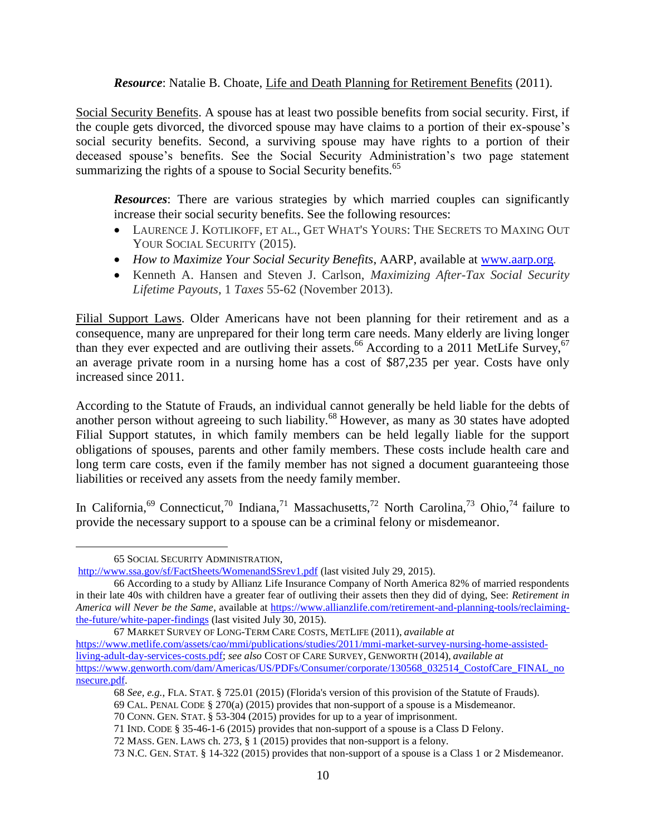#### *Resource*: Natalie B. Choate, Life and Death Planning for Retirement Benefits (2011).

Social Security Benefits. A spouse has at least two possible benefits from social security. First, if the couple gets divorced, the divorced spouse may have claims to a portion of their ex-spouse's social security benefits. Second, a surviving spouse may have rights to a portion of their deceased spouse's benefits. See the Social Security Administration's two page statement summarizing the rights of a spouse to Social Security benefits.<sup>65</sup>

*Resources*: There are various strategies by which married couples can significantly increase their social security benefits. See the following resources:

- LAURENCE J. KOTLIKOFF, ET AL., GET WHAT'S YOURS: THE SECRETS TO MAXING OUT YOUR SOCIAL SECURITY (2015).
- *How to Maximize Your Social Security Benefits*, AARP, available at [www.aarp.org](http://www.aarp.org/)*.*
- Kenneth A. Hansen and Steven J. Carlson, *Maximizing After-Tax Social Security Lifetime Payouts*, 1 *Taxes* 55-62 (November 2013).

Filial Support Laws. Older Americans have not been planning for their retirement and as a consequence, many are unprepared for their long term care needs. Many elderly are living longer than they ever expected and are outliving their assets.<sup>66</sup> According to a 2011 MetLife Survey,<sup>67</sup> an average private room in a nursing home has a cost of \$87,235 per year. Costs have only increased since 2011.

According to the Statute of Frauds, an individual cannot generally be held liable for the debts of another person without agreeing to such liability.<sup>68</sup> However, as many as 30 states have adopted Filial Support statutes, in which family members can be held legally liable for the support obligations of spouses, parents and other family members. These costs include health care and long term care costs, even if the family member has not signed a document guaranteeing those liabilities or received any assets from the needy family member.

In California,<sup>69</sup> Connecticut,<sup>70</sup> Indiana,<sup>71</sup> Massachusetts,<sup>72</sup> North Carolina,<sup>73</sup> Ohio,<sup>74</sup> failure to provide the necessary support to a spouse can be a criminal felony or misdemeanor.

 $\overline{a}$ 

72 MASS. GEN. LAWS ch. 273, § 1 (2015) provides that non-support is a felony.

<sup>65</sup> SOCIAL SECURITY ADMINISTRATION,

<http://www.ssa.gov/sf/FactSheets/WomenandSSrev1.pdf> (last visited July 29, 2015).

<sup>66</sup> According to a study by Allianz Life Insurance Company of North America 82% of married respondents in their late 40s with children have a greater fear of outliving their assets then they did of dying, See: *Retirement in America will Never be the Same*, available at [https://www.allianzlife.com/retirement-and-planning-tools/reclaiming](https://www.allianzlife.com/retirement-and-planning-tools/reclaiming-the-future/white-paper-findings)[the-future/white-paper-findings](https://www.allianzlife.com/retirement-and-planning-tools/reclaiming-the-future/white-paper-findings) (last visited July 30, 2015).

<sup>67</sup> MARKET SURVEY OF LONG-TERM CARE COSTS, METLIFE (2011), *available at* [https://www.metlife.com/assets/cao/mmi/publications/studies/2011/mmi-market-survey-nursing-home-assisted](https://www.metlife.com/assets/cao/mmi/publications/studies/2011/mmi-market-survey-nursing-home-assisted-living-adult-day-services-costs.pdf)[living-adult-day-services-costs.pdf;](https://www.metlife.com/assets/cao/mmi/publications/studies/2011/mmi-market-survey-nursing-home-assisted-living-adult-day-services-costs.pdf) *see also* COST OF CARE SURVEY, GENWORTH (2014), *available at*  [https://www.genworth.com/dam/Americas/US/PDFs/Consumer/corporate/130568\\_032514\\_CostofCare\\_FINAL\\_no](https://www.genworth.com/dam/Americas/US/PDFs/Consumer/corporate/130568_032514_CostofCare_FINAL_nonsecure.pdf) [nsecure.pdf.](https://www.genworth.com/dam/Americas/US/PDFs/Consumer/corporate/130568_032514_CostofCare_FINAL_nonsecure.pdf) 

<sup>68</sup> *See, e.g.*, FLA. STAT. § 725.01 (2015) (Florida's version of this provision of the Statute of Frauds).

<sup>69</sup> CAL. PENAL CODE § 270(a) (2015) provides that non-support of a spouse is a Misdemeanor.

<sup>70</sup> CONN. GEN. STAT. § 53-304 (2015) provides for up to a year of imprisonment.

<sup>71</sup> IND. CODE § 35-46-1-6 (2015) provides that non-support of a spouse is a Class D Felony.

<sup>73</sup> N.C. GEN. STAT. § 14-322 (2015) provides that non-support of a spouse is a Class 1 or 2 Misdemeanor.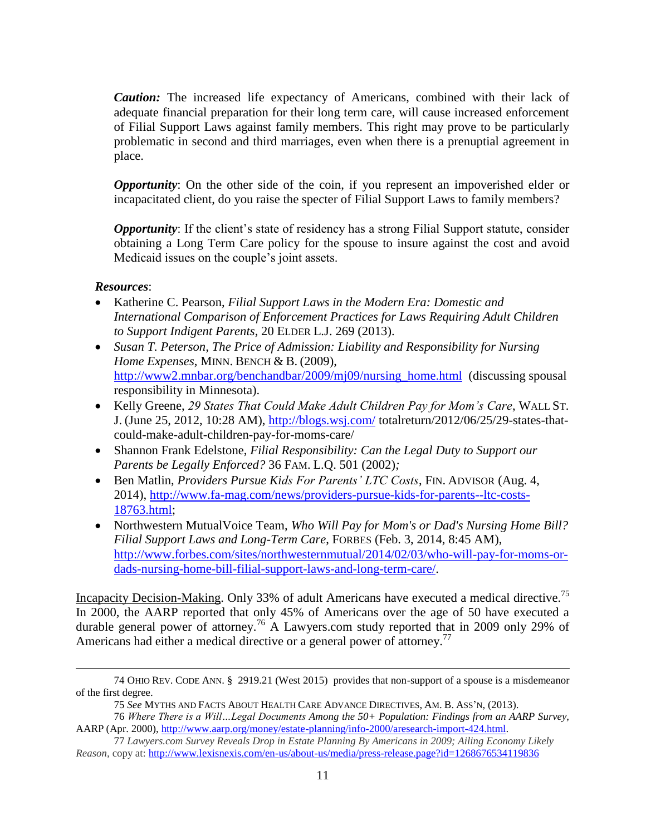*Caution:* The increased life expectancy of Americans, combined with their lack of adequate financial preparation for their long term care, will cause increased enforcement of Filial Support Laws against family members. This right may prove to be particularly problematic in second and third marriages, even when there is a prenuptial agreement in place.

*Opportunity*: On the other side of the coin, if you represent an impoverished elder or incapacitated client, do you raise the specter of Filial Support Laws to family members?

*Opportunity*: If the client's state of residency has a strong Filial Support statute, consider obtaining a Long Term Care policy for the spouse to insure against the cost and avoid Medicaid issues on the couple's joint assets.

## *Resources*:

 $\overline{a}$ 

- Katherine C. Pearson, *[Filial Support Laws in the Modern Era: Domestic and](http://papers.ssrn.com/sol3/cf_dev/AbsByAuth.cfm?per_id=373445)  [International Comparison of Enforcement Practices for Laws Requiring Adult Children](http://papers.ssrn.com/sol3/cf_dev/AbsByAuth.cfm?per_id=373445)  [to Support Indigent Parents](http://papers.ssrn.com/sol3/cf_dev/AbsByAuth.cfm?per_id=373445)*, 20 ELDER L.J. [269 \(2013\).](http://papers.ssrn.com/sol3/cf_dev/AbsByAuth.cfm?per_id=373445)
- *Susan T. Peterson, The Price of Admission: Liability and Responsibility for Nursing Home Expenses*, MINN. BENCH & B. (2009), [http://www2.mnbar.org/benchandbar/2009/mj09/nursing\\_home.html](http://www2.mnbar.org/benchandbar/2009/mj09/nursing_home.html) (discussing spousal responsibility in Minnesota).
- Kelly Greene, *29 States That Could Make Adult Children Pay for Mom's Care*, WALL ST. J. (June 25, 2012, 10:28 AM),<http://blogs.wsj.com/> totalreturn/2012/06/25/29-states-thatcould-make-adult-children-pay-for-moms-care/
- Shannon Frank Edelstone, *Filial Responsibility: Can the Legal Duty to Support our Parents be Legally Enforced?* 36 FAM. L.Q. 501 (2002)*;*
- Ben Matlin, *Providers Pursue Kids For Parents' LTC Costs*, FIN. ADVISOR (Aug. 4, 2014), [http://www.fa-mag.com/news/providers-pursue-kids-for-parents--ltc-costs-](http://www.fa-mag.com/news/providers-pursue-kids-for-parents--ltc-costs-18763.html)[18763.html;](http://www.fa-mag.com/news/providers-pursue-kids-for-parents--ltc-costs-18763.html)
- Northwestern MutualVoice Team, *Who Will Pay for Mom's or Dad's Nursing Home Bill? Filial Support Laws and Long-Term Care*, FORBES (Feb. 3, 2014, 8:45 AM), [http://www.forbes.com/sites/northwesternmutual/2014/02/03/who-will-pay-for-moms-or](http://www.forbes.com/sites/northwesternmutual/‌2014/02/03/who-will-pay-for-moms-or-dads-nursing-home-bill-filial-support-laws-and-long-term-care/)[dads-nursing-home-bill-filial-support-laws-and-long-term-care/.](http://www.forbes.com/sites/northwesternmutual/‌2014/02/03/who-will-pay-for-moms-or-dads-nursing-home-bill-filial-support-laws-and-long-term-care/)

Incapacity Decision-Making. Only 33% of adult Americans have executed a medical directive.<sup>75</sup> In 2000, the AARP reported that only 45% of Americans over the age of 50 have executed a durable general power of attorney.<sup>76</sup> A Lawyers.com study reported that in 2009 only 29% of Americans had either a medical directive or a general power of attorney.<sup>77</sup>

77 *Lawyers.com Survey Reveals Drop in Estate Planning By Americans in 2009; Ailing Economy Likely Reason,* copy at:<http://www.lexisnexis.com/en-us/about-us/media/press-release.page?id=1268676534119836>

<sup>74</sup> OHIO REV. CODE ANN. § 2919.21 (West 2015) provides that non-support of a spouse is a misdemeanor of the first degree.

<sup>75</sup> *See* MYTHS AND FACTS ABOUT HEALTH CARE ADVANCE DIRECTIVES, AM. B. ASS'N, (2013).

<sup>76</sup> *Where There is a Will…Legal Documents Among the 50+ Population: Findings from an AARP Survey,* AARP (Apr. 2000), [http://www.aarp.org/money/estate-planning/info-2000/aresearch-import-424.html.](http://www.aarp.org/money/estate-planning/info-2000/aresearch-import-424.html)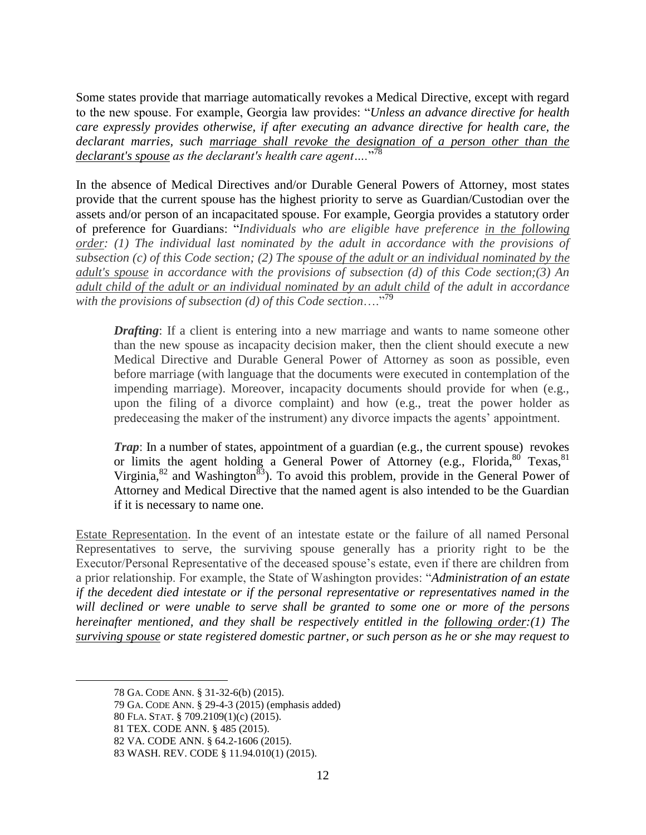Some states provide that marriage automatically revokes a Medical Directive, except with regard to the new spouse. For example, Georgia law provides: "*Unless an advance directive for health care expressly provides otherwise, if after executing an advance directive for health care, the declarant marries, such marriage shall revoke the designation of a person other than the declarant's spouse as the declarant's health care agent….*" 78

In the absence of Medical Directives and/or Durable General Powers of Attorney, most states provide that the current spouse has the highest priority to serve as Guardian/Custodian over the assets and/or person of an incapacitated spouse. For example, Georgia provides a statutory order of preference for Guardians: "*Individuals who are eligible have preference in the following order: (1) The individual last nominated by the adult in accordance with the provisions of subsection (c) of this Code section; (2) The spouse of the adult or an individual nominated by the adult's spouse in accordance with the provisions of subsection (d) of this Code section;(3) An adult child of the adult or an individual nominated by an adult child of the adult in accordance with the provisions of subsection (d) of this Code section*…."<sup>79</sup>

*Drafting*: If a client is entering into a new marriage and wants to name someone other than the new spouse as incapacity decision maker, then the client should execute a new Medical Directive and Durable General Power of Attorney as soon as possible, even before marriage (with language that the documents were executed in contemplation of the impending marriage). Moreover, incapacity documents should provide for when (e.g., upon the filing of a divorce complaint) and how (e.g., treat the power holder as predeceasing the maker of the instrument) any divorce impacts the agents' appointment.

*Trap*: In a number of states, appointment of a guardian (e.g., the current spouse) revokes or limits the agent holding a General Power of Attorney (e.g., Florida,  $80$  Texas,  $81$ Virginia, $82$  and Washington<sup>83</sup>). To avoid this problem, provide in the General Power of Attorney and Medical Directive that the named agent is also intended to be the Guardian if it is necessary to name one.

Estate Representation. In the event of an intestate estate or the failure of all named Personal Representatives to serve, the surviving spouse generally has a priority right to be the Executor/Personal Representative of the deceased spouse's estate, even if there are children from a prior relationship. For example, the State of Washington provides: "*Administration of an estate if the decedent died intestate or if the personal representative or representatives named in the will declined or were unable to serve shall be granted to some one or more of the persons hereinafter mentioned, and they shall be respectively entitled in the following order:(1) The surviving spouse or state registered domestic partner, or such person as he or she may request to* 

<sup>78</sup> GA. CODE ANN. § 31-32-6(b) (2015).

<sup>79</sup> GA. CODE ANN. § 29-4-3 (2015) (emphasis added)

<sup>80</sup> FLA. STAT. § 709.2109(1)(c) (2015).

<sup>81</sup> TEX. CODE ANN. § 485 (2015).

<sup>82</sup> VA. CODE ANN. § 64.2-1606 (2015).

<sup>83</sup> WASH. REV. CODE § 11.94.010(1) (2015).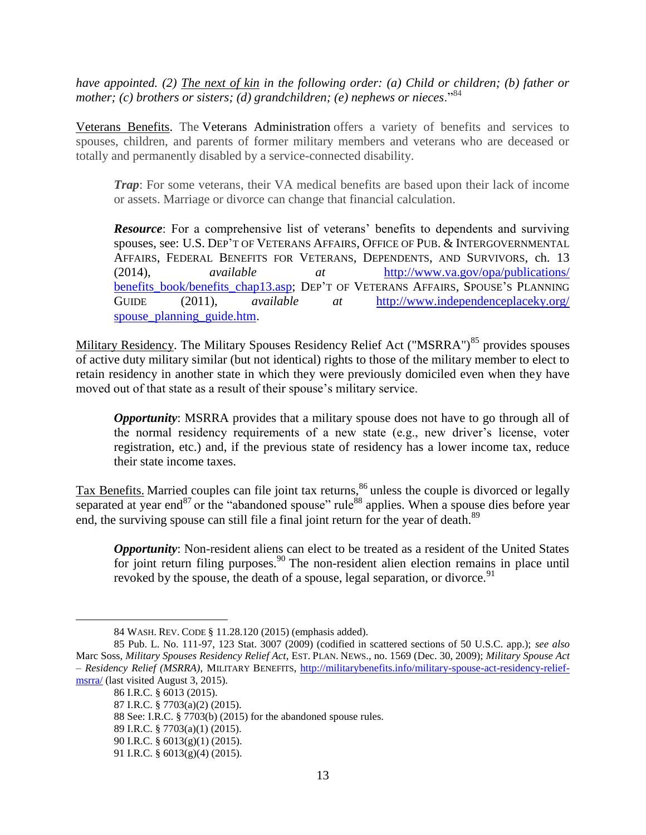*have appointed. (2) The next of kin in the following order: (a) Child or children; (b) father or mother; (c) brothers or sisters; (d) grandchildren; (e) nephews or nieces.*<sup>84</sup>

Veterans Benefits. The Veterans Administration offers a variety of benefits and services to spouses, children, and parents of former military members and veterans who are deceased or totally and permanently disabled by a service-connected disability.

*Trap*: For some veterans, their VA medical benefits are based upon their lack of income or assets. Marriage or divorce can change that financial calculation.

*Resource*: For a comprehensive list of veterans' benefits to dependents and surviving spouses, see: U.S. DEP'T OF VETERANS AFFAIRS, OFFICE OF PUB. & INTERGOVERNMENTAL AFFAIRS, FEDERAL BENEFITS FOR VETERANS, DEPENDENTS, AND SURVIVORS, ch. 13 (2014), *available at* [http://www.va.gov/opa/publications/](http://www.va.gov/opa/publications/‌benefits_book/benefits_chap13.asp) [benefits\\_book/benefits\\_chap13.asp;](http://www.va.gov/opa/publications/‌benefits_book/benefits_chap13.asp) DEP'T OF VETERANS AFFAIRS, SPOUSE'S PLANNING GUIDE (2011), *available at* [http://www.independenceplaceky.org/](http://www.independenceplaceky.org/‌spouse_planning_guide.htm) spouse planning guide.htm.

Military Residency. The Military Spouses Residency Relief Act ("MSRRA")<sup>85</sup> provides spouses of active duty military similar (but not identical) rights to those of the military member to elect to retain residency in another state in which they were previously domiciled even when they have moved out of that state as a result of their spouse's military service.

*Opportunity*: MSRRA provides that a military spouse does not have to go through all of the normal residency requirements of a new state (e.g., new driver's license, voter registration, etc.) and, if the previous state of residency has a lower income tax, reduce their state income taxes.

Tax Benefits. Married couples can file joint tax returns,<sup>86</sup> unless the couple is divorced or legally separated at year end<sup>87</sup> or the "abandoned spouse" rule<sup>88</sup> applies. When a spouse dies before year end, the surviving spouse can still file a final joint return for the year of death.<sup>89</sup>

*Opportunity*: Non-resident aliens can elect to be treated as a resident of the United States for joint return filing purposes.<sup>90</sup> The non-resident alien election remains in place until revoked by the spouse, the death of a spouse, legal separation, or divorce.<sup>91</sup>

86 I.R.C. § 6013 (2015).

 $\overline{a}$ 

88 See: I.R.C. § 7703(b) (2015) for the abandoned spouse rules.

<sup>84</sup> WASH. REV. CODE § 11.28.120 (2015) (emphasis added).

<sup>85</sup> Pub. L. No. 111-97, 123 Stat. 3007 (2009) (codified in scattered sections of 50 U.S.C. app.); *see also* Marc Soss, *Military Spouses Residency Relief Act*, EST. PLAN. NEWS., no. 1569 (Dec. 30, 2009); *Military Spouse Act – Residency Relief (MSRRA)*, MILITARY BENEFITS, [http://militarybenefits.info/military-spouse-act-residency-relief](http://militarybenefits.info/military-spouse-act-residency-relief-msrra/)[msrra/](http://militarybenefits.info/military-spouse-act-residency-relief-msrra/) (last visited August 3, 2015).

<sup>87</sup> I.R.C. § 7703(a)(2) (2015).

<sup>89</sup> I.R.C. § 7703(a)(1) (2015).

<sup>90</sup> I.R.C. § 6013(g)(1) (2015).

<sup>91</sup> I.R.C. § 6013(g)(4) (2015).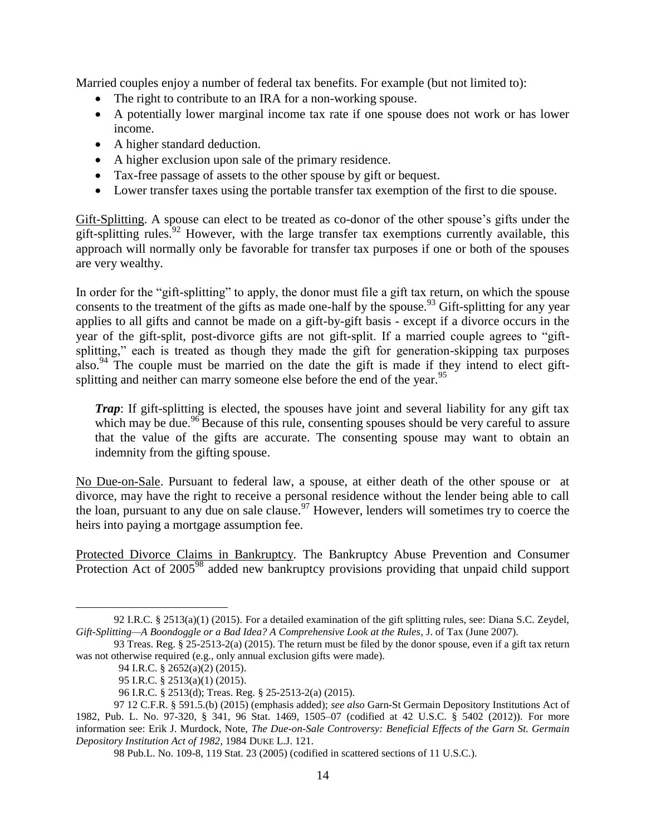Married couples enjoy a number of federal tax benefits. For example (but not limited to):

- The right to contribute to an IRA for a non-working spouse.
- A potentially lower marginal income tax rate if one spouse does not work or has lower income.
- A higher standard deduction.
- A higher exclusion upon sale of the primary residence.
- Tax-free passage of assets to the other spouse by gift or bequest.
- Lower transfer taxes using the portable transfer tax exemption of the first to die spouse.

Gift-Splitting. A spouse can elect to be treated as co-donor of the other spouse's gifts under the gift-splitting rules.<sup>92</sup> However, with the large transfer tax exemptions currently available, this approach will normally only be favorable for transfer tax purposes if one or both of the spouses are very wealthy.

In order for the "gift-splitting" to apply, the donor must file a gift tax return, on which the spouse consents to the treatment of the gifts as made one-half by the spouse.<sup>93</sup> Gift-splitting for any year applies to all gifts and cannot be made on a gift-by-gift basis - except if a divorce occurs in the year of the gift-split, post-divorce gifts are not gift-split. If a married couple agrees to "giftsplitting," each is treated as though they made the gift for generation-skipping tax purposes also.<sup>94</sup> The couple must be married on the date the gift is made if they intend to elect giftsplitting and neither can marry someone else before the end of the year.<sup>95</sup>

*Trap*: If gift-splitting is elected, the spouses have joint and several liability for any gift tax which may be due.<sup>96</sup> Because of this rule, consenting spouses should be very careful to assure that the value of the gifts are accurate. The consenting spouse may want to obtain an indemnity from the gifting spouse.

No Due-on-Sale. Pursuant to federal law, a spouse, at either death of the other spouse or at divorce, may have the right to receive a personal residence without the lender being able to call the loan, pursuant to any due on sale clause.<sup>97</sup> However, lenders will sometimes try to coerce the heirs into paying a mortgage assumption fee.

Protected Divorce Claims in Bankruptcy*.* The [Bankruptcy Abuse Prevention and Consumer](http://www.usdoj.gov/ust/eo/bapcpa/index.htm)  [Protection Act of 2005](http://www.usdoj.gov/ust/eo/bapcpa/index.htm)<sup>98</sup> added new bankruptcy provisions providing that unpaid child support

<sup>92</sup> I.R.C. § 2513(a)(1) (2015). For a detailed examination of the gift splitting rules, see: Diana S.C. Zeydel, *Gift-Splitting—A Boondoggle or a Bad Idea? A Comprehensive Look at the Rules*, J. of Tax (June 2007).

<sup>93</sup> Treas. Reg. § 25-2513-2(a) (2015). The return must be filed by the donor spouse, even if a gift tax return was not otherwise required (e.g., only annual exclusion gifts were made).

<sup>94</sup> I.R.C. § 2652(a)(2) (2015).

<sup>95</sup> I.R.C. § 2513(a)(1) (2015).

<sup>96</sup> I.R.C. § 2513(d); Treas. Reg. § 25-2513-2(a) (2015).

<sup>97</sup> 12 C.F.R. § 591.5.(b) (2015) (emphasis added); *see also* Garn-St Germain Depository Institutions Act of 1982, Pub. L. No. 97-320, § 341, 96 Stat. 1469, 1505–07 (codified at 42 U.S.C. § 5402 (2012)). For more information see: Erik J. Murdock, Note, *The Due-on-Sale Controversy: Beneficial Effects of the Garn St. Germain Depository Institution Act of 1982*, 1984 DUKE L.J. 121.

<sup>98</sup> Pub.L. No. 109-8, 119 Stat. 23 (2005) (codified in scattered sections of 11 U.S.C.).